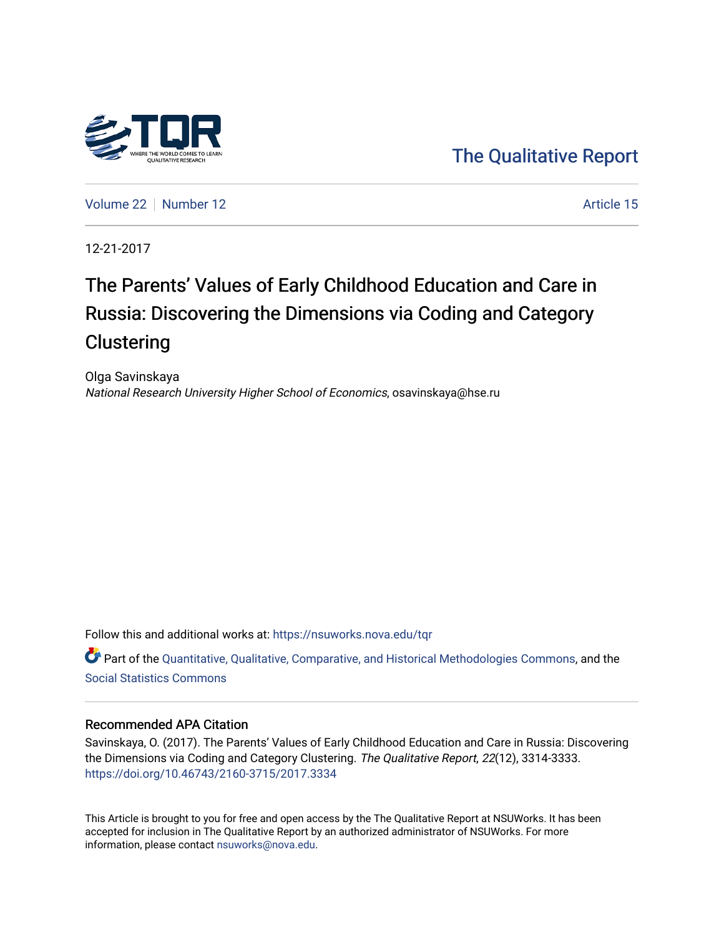

[The Qualitative Report](https://nsuworks.nova.edu/tqr) 

[Volume 22](https://nsuworks.nova.edu/tqr/vol22) [Number 12](https://nsuworks.nova.edu/tqr/vol22/iss12) Article 15

12-21-2017

# The Parents' Values of Early Childhood Education and Care in Russia: Discovering the Dimensions via Coding and Category **Clustering**

Olga Savinskaya National Research University Higher School of Economics, osavinskaya@hse.ru

Follow this and additional works at: [https://nsuworks.nova.edu/tqr](https://nsuworks.nova.edu/tqr?utm_source=nsuworks.nova.edu%2Ftqr%2Fvol22%2Fiss12%2F15&utm_medium=PDF&utm_campaign=PDFCoverPages) 

Part of the [Quantitative, Qualitative, Comparative, and Historical Methodologies Commons,](http://network.bepress.com/hgg/discipline/423?utm_source=nsuworks.nova.edu%2Ftqr%2Fvol22%2Fiss12%2F15&utm_medium=PDF&utm_campaign=PDFCoverPages) and the [Social Statistics Commons](http://network.bepress.com/hgg/discipline/1275?utm_source=nsuworks.nova.edu%2Ftqr%2Fvol22%2Fiss12%2F15&utm_medium=PDF&utm_campaign=PDFCoverPages) 

## Recommended APA Citation

Savinskaya, O. (2017). The Parents' Values of Early Childhood Education and Care in Russia: Discovering the Dimensions via Coding and Category Clustering. The Qualitative Report, 22(12), 3314-3333. <https://doi.org/10.46743/2160-3715/2017.3334>

This Article is brought to you for free and open access by the The Qualitative Report at NSUWorks. It has been accepted for inclusion in The Qualitative Report by an authorized administrator of NSUWorks. For more information, please contact [nsuworks@nova.edu.](mailto:nsuworks@nova.edu)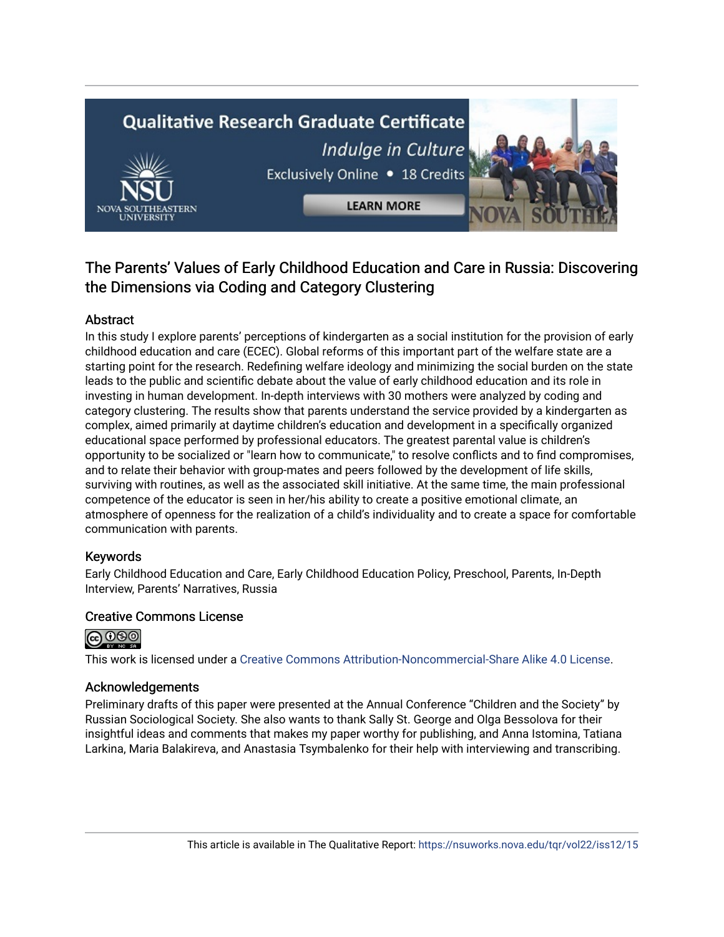# **Qualitative Research Graduate Certificate** Indulge in Culture Exclusively Online . 18 Credits **LEARN MORE**



## Abstract

In this study I explore parents' perceptions of kindergarten as a social institution for the provision of early childhood education and care (ECEC). Global reforms of this important part of the welfare state are a starting point for the research. Redefining welfare ideology and minimizing the social burden on the state leads to the public and scientific debate about the value of early childhood education and its role in investing in human development. In-depth interviews with 30 mothers were analyzed by coding and category clustering. The results show that parents understand the service provided by a kindergarten as complex, aimed primarily at daytime children's education and development in a specifically organized educational space performed by professional educators. The greatest parental value is children's opportunity to be socialized or "learn how to communicate," to resolve conflicts and to find compromises, and to relate their behavior with group-mates and peers followed by the development of life skills, surviving with routines, as well as the associated skill initiative. At the same time, the main professional competence of the educator is seen in her/his ability to create a positive emotional climate, an atmosphere of openness for the realization of a child's individuality and to create a space for comfortable communication with parents.

## Keywords

Early Childhood Education and Care, Early Childhood Education Policy, Preschool, Parents, In-Depth Interview, Parents' Narratives, Russia

## Creative Commons License



This work is licensed under a [Creative Commons Attribution-Noncommercial-Share Alike 4.0 License](https://creativecommons.org/licenses/by-nc-sa/4.0/).

## Acknowledgements

Preliminary drafts of this paper were presented at the Annual Conference "Children and the Society" by Russian Sociological Society. She also wants to thank Sally St. George and Olga Bessolova for their insightful ideas and comments that makes my paper worthy for publishing, and Anna Istomina, Tatiana Larkina, Maria Balakireva, and Anastasia Tsymbalenko for their help with interviewing and transcribing.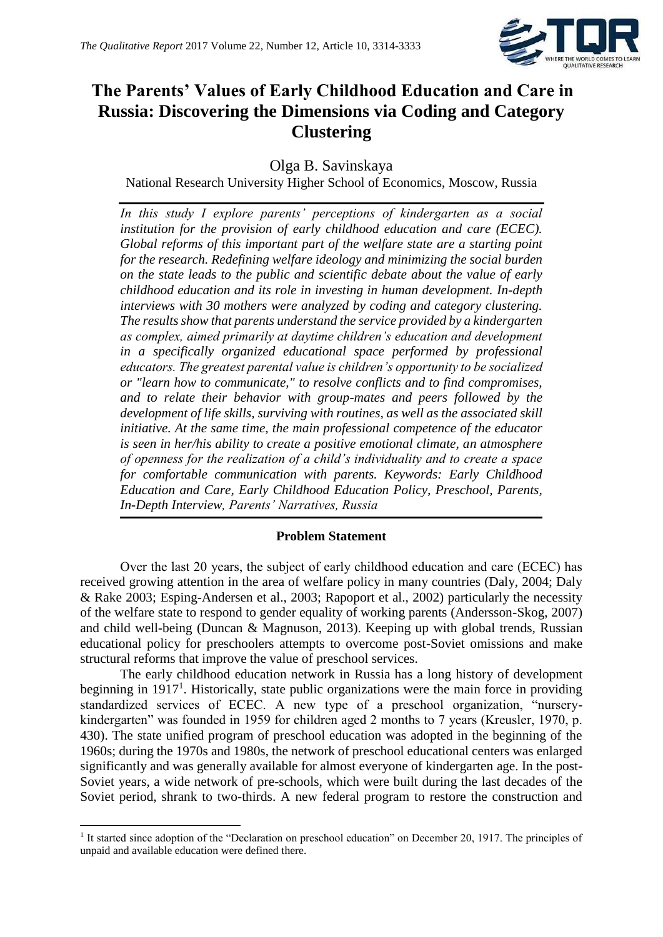

## **The Parents' Values of Early Childhood Education and Care in Russia: Discovering the Dimensions via Coding and Category Clustering**

## Olga B. Savinskaya

National Research University Higher School of Economics, Moscow, Russia

*In this study I explore parents' perceptions of kindergarten as a social institution for the provision of early childhood education and care (ECEC). Global reforms of this important part of the welfare state are a starting point for the research. Redefining welfare ideology and minimizing the social burden on the state leads to the public and scientific debate about the value of early childhood education and its role in investing in human development. In-depth interviews with 30 mothers were analyzed by coding and category clustering. The results show that parents understand the service provided by a kindergarten as complex, aimed primarily at daytime children's education and development in a specifically organized educational space performed by professional educators. The greatest parental value is children's opportunity to be socialized or "learn how to communicate," to resolve conflicts and to find compromises, and to relate their behavior with group-mates and peers followed by the development of life skills, surviving with routines, as well as the associated skill initiative. At the same time, the main professional competence of the educator is seen in her/his ability to create a positive emotional climate, an atmosphere of openness for the realization of a child's individuality and to create a space for comfortable communication with parents. Keywords: Early Childhood Education and Care, Early Childhood Education Policy, Preschool, Parents, In-Depth Interview, Parents' Narratives, Russia*

#### **Problem Statement**

Over the last 20 years, the subjeсt of early childhood education and care (ECEC) has received growing attention in the area of welfare policy in many countries (Daly, 2004; Daly & Rake 2003; Esping-Andersen et al., 2003; Rapoport et al., 2002) particularly the necessity of the welfare state to respond to gender equality of working parents (Andersson-Skog, 2007) and child well-being (Duncan & Magnuson, 2013). Keeping up with global trends, Russian educational policy for preschoolers attempts to overcome post-Soviet omissions and make structural reforms that improve the value of preschool services.

The early childhood education network in Russia has a long history of development beginning in 1917<sup>1</sup>. Historically, state public organizations were the main force in providing standardized services of ECEC. A new type of a preschool organization, "nurserykindergarten" was founded in 1959 for children aged 2 months to 7 years (Kreusler, 1970, p. 430). The state unified program of preschool education was adopted in the beginning of the 1960s; during the 1970s and 1980s, the network of preschool educational centers was enlarged significantly and was generally available for almost everyone of kindergarten age. In the post-Soviet years, a wide network of pre-schools, which were built during the last decades of the Soviet period, shrank to two-thirds. A new federal program to restore the construction and

1

<sup>&</sup>lt;sup>1</sup> It started since adoption of the "Declaration on preschool education" on December 20, 1917. The principles of unpaid and available education were defined there.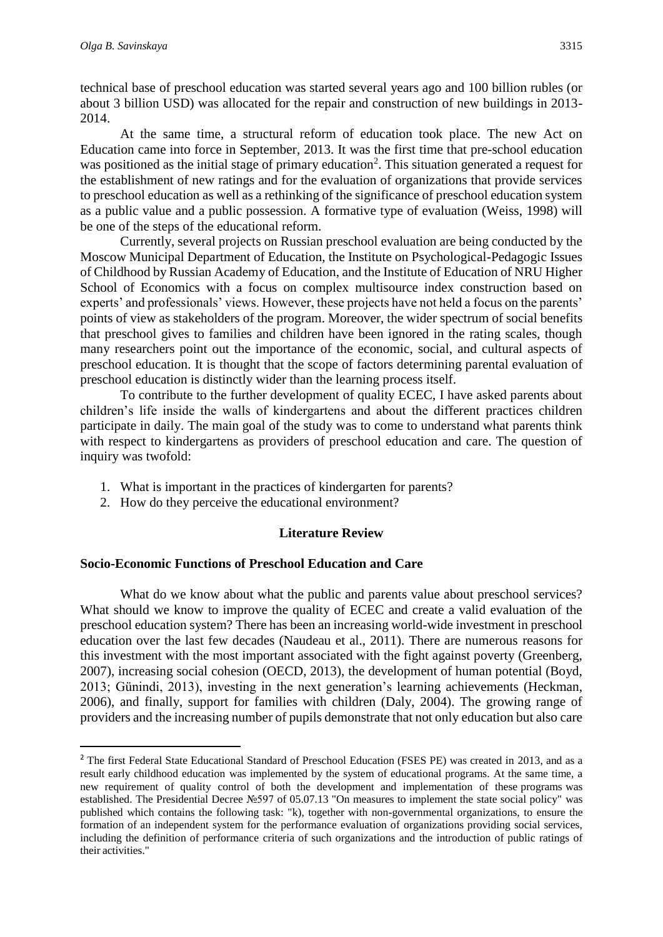**.** 

technical base of preschool education was started several years ago and 100 billion rubles (or about 3 billion USD) was allocated for the repair and construction of new buildings in 2013- 2014.

At the same time, a structural reform of education took place. The new Act on Education came into force in September, 2013. It was the first time that pre-school education was positioned as the initial stage of primary education<sup>2</sup>. This situation generated a request for the establishment of new ratings and for the evaluation of organizations that provide services to preschool education as well as a rethinking of the significance of preschool education system as a public value and a public possession. A formative type of evaluation (Weiss, 1998) will be one of the steps of the educational reform.

Currently, several projects on Russian preschool evaluation are being conducted by the Moscow Municipal Department of Education, the Institute on Psychological-Pedagogic Issues of Childhood by Russian Academy of Education, and the Institute of Education of NRU Higher School of Economics with a focus on complex multisource index construction based on experts' and professionals' views. However, these projects have not held a focus on the parents' points of view as stakeholders of the program. Moreover, the wider spectrum of social benefits that preschool gives to families and children have been ignored in the rating scales, though many researchers point out the importance of the economic, social, and cultural aspects of preschool education. It is thought that the scope of factors determining parental evaluation of preschool education is distinctly wider than the learning process itself.

To contribute to the further development of quality ECEC, I have asked parents about children's life inside the walls of kindergartens and about the different practices children participate in daily. The main goal of the study was to come to understand what parents think with respect to kindergartens as providers of preschool education and care. The question of inquiry was twofold:

- 1. What is important in the practices of kindergarten for parents?
- 2. How do they perceive the educational environment?

## **Literature Review**

#### **Socio-Economic Functions of Preschool Education and Care**

What do we know about what the public and parents value about preschool services? What should we know to improve the quality of ECEC and create a valid evaluation of the preschool education system? There has been an increasing world-wide investment in preschool education over the last few decades (Naudeau et al., 2011). There are numerous reasons for this investment with the most important associated with the fight against poverty (Greenberg, 2007), increasing social cohesion (OECD, 2013), the development of human potential (Boyd, 2013; Günindi, 2013), investing in the next generation's learning achievements (Heckman, 2006), and finally, support for families with children (Daly, 2004). The growing range of providers and the increasing number of pupils demonstrate that not only education but also care

<sup>&</sup>lt;sup>2</sup> The first Federal State Educational Standard of Preschool Education (FSES PE) was created in 2013, and as a result early childhood education was implemented by the system of educational programs. At the same time, a new requirement of quality control of both the development and implementation of these programs was established. The Presidential Decree №597 of 05.07.13 "On measures to implement the state social policy" was published which contains the following task: "k), together with non-governmental organizations, to ensure the formation of an independent system for the performance evaluation of organizations providing social services, including the definition of performance criteria of such organizations and the introduction of public ratings of their activities."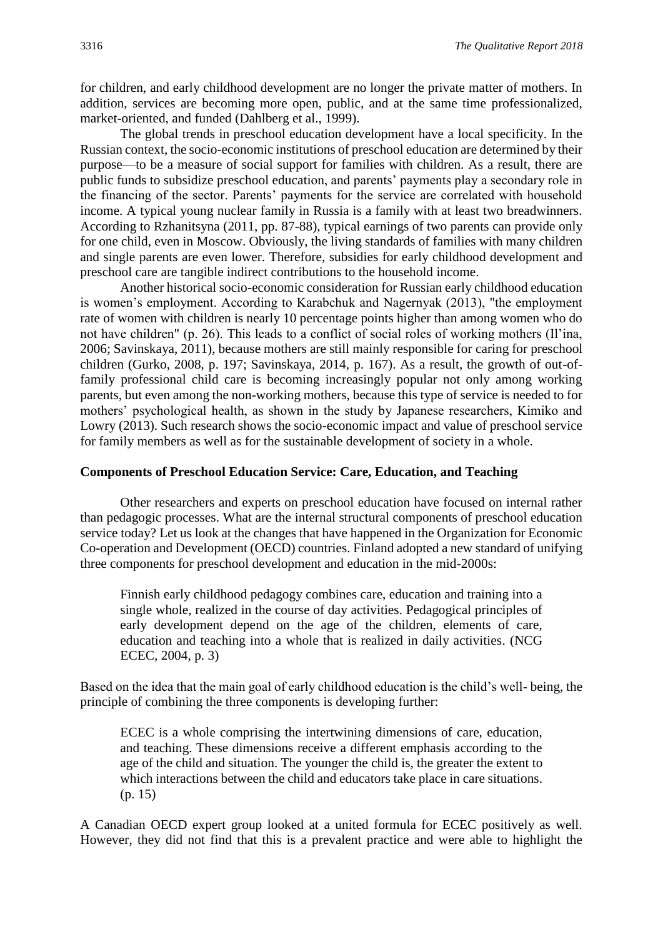for children, and early childhood development are no longer the private matter of mothers. In addition, services are becoming more open, public, and at the same time professionalized, market-oriented, and funded (Dahlberg et al., 1999).

The global trends in preschool education development have a local specificity. In the Russian context, the socio-economic institutions of preschool education are determined by their purpose—to be a measure of social support for families with children. As a result, there are public funds to subsidize preschool education, and parents' payments play a secondary role in the financing of the sector. Parents' payments for the service are correlated with household income. A typical young nuclear family in Russia is a family with at least two breadwinners. According to Rzhanitsyna (2011, pp. 87-88), typical earnings of two parents can provide only for one child, even in Moscow. Obviously, the living standards of families with many children and single parents are even lower. Therefore, subsidies for early childhood development and preschool care are tangible indirect contributions to the household income.

Another historical socio-economic consideration for Russian early childhood education is women's employment. According to Karabchuk and Nagernyak (2013), "the employment rate of women with children is nearly 10 percentage points higher than among women who do not have children" (p. 26). This leads to a conflict of social roles of working mothers (Il'ina, 2006; Savinskaya, 2011), because mothers are still mainly responsible for caring for preschool children (Gurko, 2008, p. 197; Savinskaya, 2014, p. 167). As a result, the growth of out-offamily professional child care is becoming increasingly popular not only among working parents, but even among the non-working mothers, because this type of service is needed to for mothers' psychological health, as shown in the study by Japanese researchers, Kimiko and Lowry (2013). Such research shows the socio-economic impact and value of preschool service for family members as well as for the sustainable development of society in a whole.

#### **Components of Preschool Education Service: Care, Education, and Teaching**

Other researchers and experts on preschool education have focused on internal rather than pedagogic processes. What are the internal structural components of preschool education service today? Let us look at the changes that have happened in the Organization for Economic Co-operation and Development (OECD) countries. Finland adopted a new standard of unifying three components for preschool development and education in the mid-2000s:

Finnish early childhood pedagogy combines care, education and training into a single whole, realized in the course of day activities. Pedagogical principles of early development depend on the age of the children, elements of care, education and teaching into a whole that is realized in daily activities. (NCG ECEC, 2004, p. 3)

Based on the idea that the main goal of early childhood education is the child's well- being, the principle of combining the three components is developing further:

ECEC is a whole comprising the intertwining dimensions of care, education, and teaching. These dimensions receive a different emphasis according to the age of the child and situation. The younger the child is, the greater the extent to which interactions between the child and educators take place in care situations. (p. 15)

A Canadian OECD expert group looked at a united formula for ECEC positively as well. However, they did not find that this is a prevalent practice and were able to highlight the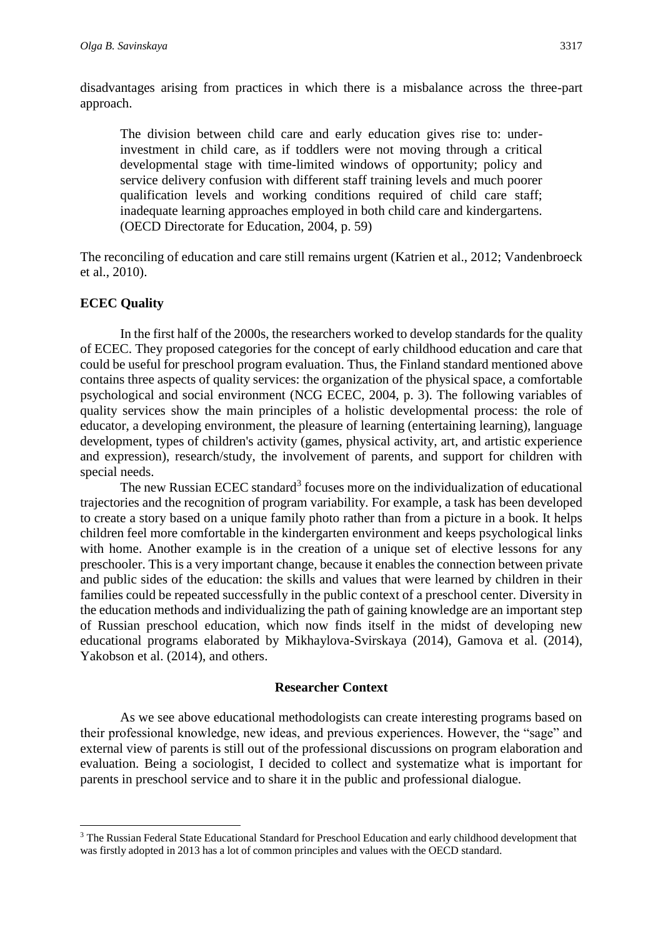disadvantages arising from practices in which there is a misbalance across the three-part approach.

The division between child care and early education gives rise to: underinvestment in child care, as if toddlers were not moving through a critical developmental stage with time-limited windows of opportunity; policy and service delivery confusion with different staff training levels and much poorer qualification levels and working conditions required of child care staff; inadequate learning approaches employed in both child care and kindergartens. (OECD Directorate for Education, 2004, p. 59)

The reconciling of education and care still remains urgent (Katrien et al., 2012; Vandenbroeck et al., 2010).

#### **ECEC Quality**

1

In the first half of the 2000s, the researchers worked to develop standards for the quality of ECEC. They proposed categories for the concept of early childhood education and care that could be useful for preschool program evaluation. Thus, the Finland standard mentioned above contains three aspects of quality services: the organization of the physical space, a comfortable psychological and social environment (NCG ECEC, 2004, p. 3). The following variables of quality services show the main principles of a holistic developmental process: the role of educator, a developing environment, the pleasure of learning (entertaining learning), language development, types of children's activity (games, physical activity, art, and artistic experience and expression), research/study, the involvement of parents, and support for children with special needs.

The new Russian ECEC standard<sup>3</sup> focuses more on the individualization of educational trajectories and the recognition of program variability. For example, a task has been developed to create a story based on a unique family photo rather than from a picture in a book. It helps children feel more comfortable in the kindergarten environment and keeps psychological links with home. Another example is in the creation of a unique set of elective lessons for any preschooler. This is a very important change, because it enables the connection between private and public sides of the education: the skills and values that were learned by children in their families could be repeated successfully in the public context of a preschool center. Diversity in the education methods and individualizing the path of gaining knowledge are an important step of Russian preschool education, which now finds itself in the midst of developing new educational programs elaborated by Mikhaylova-Svirskaya (2014), Gamova et al. (2014), Yakobson et al. (2014), and others.

#### **Researcher Context**

As we see above educational methodologists can create interesting programs based on their professional knowledge, new ideas, and previous experiences. However, the "sage" and external view of parents is still out of the professional discussions on program elaboration and evaluation. Being a sociologist, I decided to collect and systematize what is important for parents in preschool service and to share it in the public and professional dialogue.

<sup>&</sup>lt;sup>3</sup> The Russian Federal State Educational Standard for Preschool Education and early childhood development that was firstly adopted in 2013 has a lot of common principles and values with the OECD standard.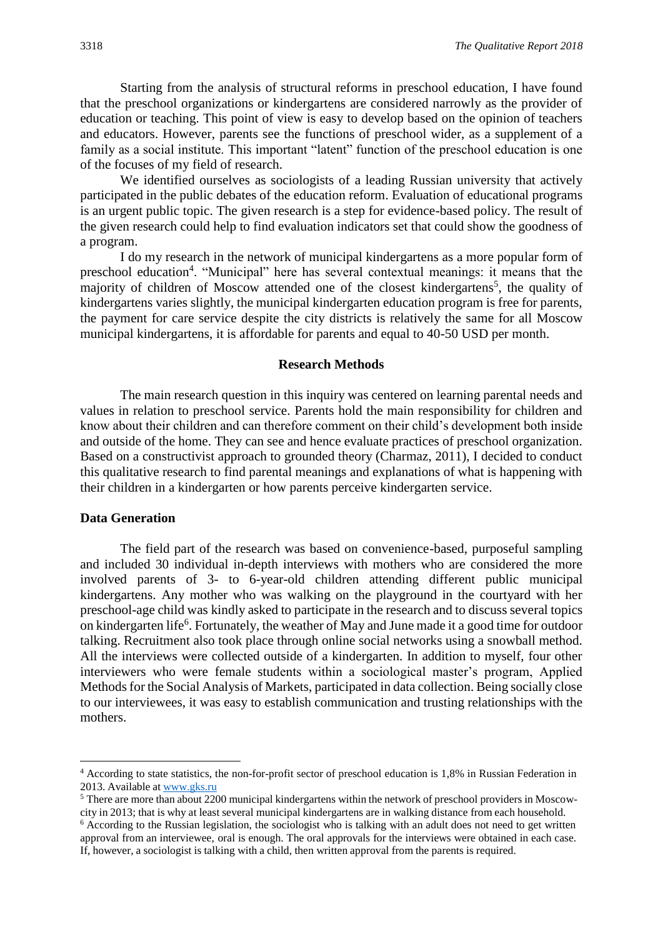Starting from the analysis of structural reforms in preschool education, I have found that the preschool organizations or kindergartens are considered narrowly as the provider of education or teaching. This point of view is easy to develop based on the opinion of teachers and educators. However, parents see the functions of preschool wider, as a supplement of a family as a social institute. This important "latent" function of the preschool education is one of the focuses of my field of research.

We identified ourselves as sociologists of a leading Russian university that actively participated in the public debates of the education reform. Evaluation of educational programs is an urgent public topic. The given research is a step for evidence-based policy. The result of the given research could help to find evaluation indicators set that could show the goodness of a program.

I do my research in the network of municipal kindergartens as a more popular form of preschool education<sup>4</sup>. "Municipal" here has several contextual meanings: it means that the majority of children of Moscow attended one of the closest kindergartens<sup>5</sup>, the quality of kindergartens varies slightly, the municipal kindergarten education program is free for parents, the payment for care service despite the city districts is relatively the same for all Moscow municipal kindergartens, it is affordable for parents and equal to 40-50 USD per month.

#### **Research Methods**

The main research question in this inquiry was centered on learning parental needs and values in relation to preschool service. Parents hold the main responsibility for children and know about their children and can therefore comment on their child's development both inside and outside of the home. They can see and hence evaluate practices of preschool organization. Based on a constructivist approach to grounded theory (Charmaz, 2011), I decided to conduct this qualitative research to find parental meanings and explanations of what is happening with their children in a kindergarten or how parents perceive kindergarten service.

#### **Data Generation**

**.** 

The field part of the research was based on convenience-based, purposeful sampling and included 30 individual in-depth interviews with mothers who are considered the more involved parents of 3- to 6-year-old children attending different public municipal kindergartens. Any mother who was walking on the playground in the courtyard with her preschool-age child was kindly asked to participate in the research and to discuss several topics on kindergarten life<sup>6</sup>. Fortunately, the weather of May and June made it a good time for outdoor talking. Recruitment also took place through online social networks using a snowball method. All the interviews were collected outside of a kindergarten. In addition to myself, four other interviewers who were female students within a sociological master's program, Applied Methods for the Social Analysis of Markets, participated in data collection. Being socially close to our interviewees, it was easy to establish communication and trusting relationships with the mothers.

<sup>4</sup> According to state statistics, the non-for-profit sector of preschool education is 1,8% in Russian Federation in 2013. Available at [www.gks.ru](http://www.gks.ru/)

<sup>&</sup>lt;sup>5</sup> There are more than about 2200 municipal kindergartens within the network of preschool providers in Moscowcity in 2013; that is why at least several municipal kindergartens are in walking distance from each household.

 $6$  According to the Russian legislation, the sociologist who is talking with an adult does not need to get written approval from an interviewee, oral is enough. The oral approvals for the interviews were obtained in each case. If, however, a sociologist is talking with a child, then written approval from the parents is required.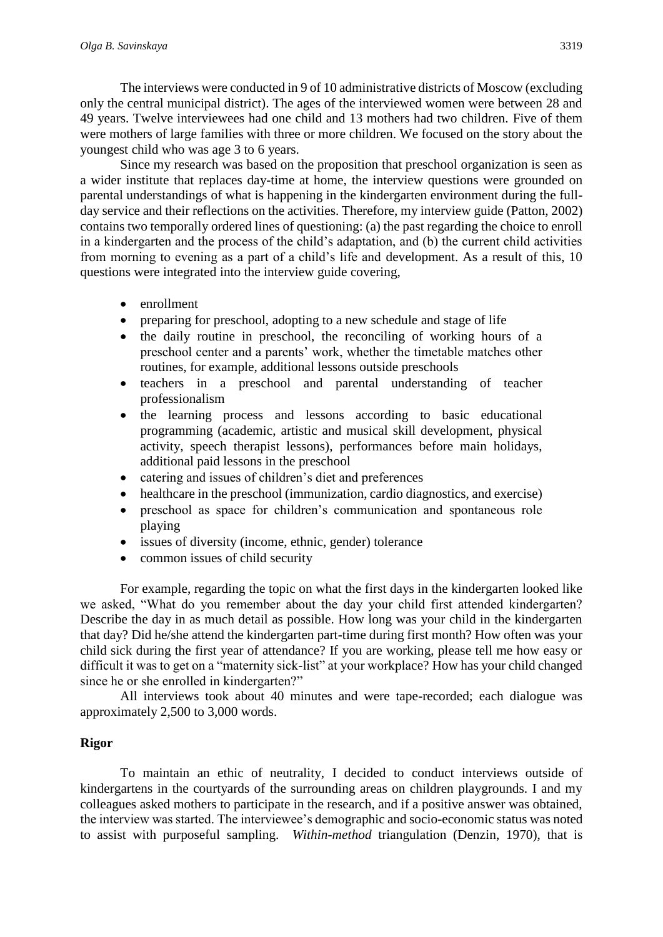The interviews were conducted in 9 of 10 administrative districts of Moscow (excluding only the central municipal district). The ages of the interviewed women were between 28 and 49 years. Twelve interviewees had one child and 13 mothers had two children. Five of them were mothers of large families with three or more children. We focused on the story about the youngest child who was age 3 to 6 years.

Since my research was based on the proposition that preschool organization is seen as a wider institute that replaces day-time at home, the interview questions were grounded on parental understandings of what is happening in the kindergarten environment during the fullday service and their reflections on the activities. Therefore, my interview guide (Patton, 2002) contains two temporally ordered lines of questioning: (a) the past regarding the choice to enroll in a kindergarten and the process of the child's adaptation, and (b) the current child activities from morning to evening as a part of a child's life and development. As a result of this, 10 questions were integrated into the interview guide covering,

- enrollment
- preparing for preschool, adopting to a new schedule and stage of life
- the daily routine in preschool, the reconciling of working hours of a preschool center and a parents' work, whether the timetable matches other routines, for example, additional lessons outside preschools
- teachers in a preschool and parental understanding of teacher professionalism
- the learning process and lessons according to basic educational programming (academic, artistic and musical skill development, physical activity, speech therapist lessons), performances before main holidays, additional paid lessons in the preschool
- catering and issues of children's diet and preferences
- healthcare in the preschool (immunization, cardio diagnostics, and exercise)
- preschool as space for children's communication and spontaneous role playing
- issues of diversity (income, ethnic, gender) tolerance
- common issues of child security

For example, regarding the topic on what the first days in the kindergarten looked like we asked, "What do you remember about the day your child first attended kindergarten? Describe the day in as much detail as possible. How long was your child in the kindergarten that day? Did he/she attend the kindergarten part-time during first month? How often was your child sick during the first year of attendance? If you are working, please tell me how easy or difficult it was to get on a "maternity sick-list" at your workplace? How has your child changed since he or she enrolled in kindergarten?"

All interviews took about 40 minutes and were tape-recorded; each dialogue was approximately 2,500 to 3,000 words.

## **Rigor**

To maintain an ethic of neutrality, I decided to conduct interviews outside of kindergartens in the courtyards of the surrounding areas on children playgrounds. I and my colleagues asked mothers to participate in the research, and if a positive answer was obtained, the interview was started. The interviewee's demographic and socio-economic status was noted to assist with purposeful sampling. *Within-method* triangulation (Denzin, 1970), that is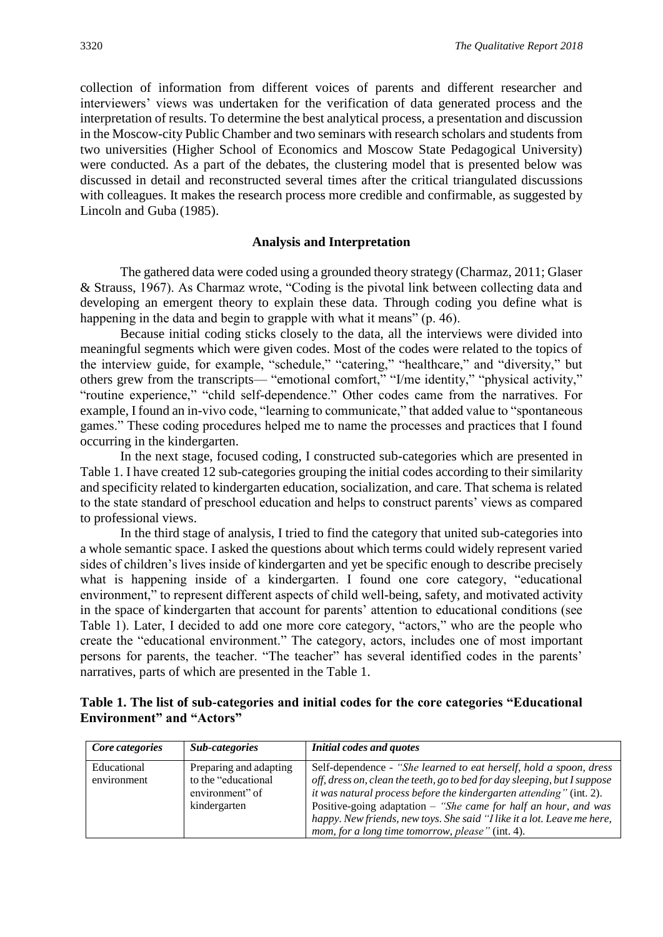collection of information from different voices of parents and different researcher and interviewers' views was undertaken for the verification of data generated process and the interpretation of results. To determine the best analytical process, a presentation and discussion in the Moscow-city Public Chamber and two seminars with research scholars and students from two universities (Higher School of Economics and Moscow State Pedagogical University) were conducted. As a part of the debates, the clustering model that is presented below was discussed in detail and reconstructed several times after the critical triangulated discussions with colleagues. It makes the research process more credible and confirmable, as suggested by Lincoln and Guba (1985).

#### **Analysis and Interpretation**

The gathered data were coded using a grounded theory strategy (Charmaz, 2011; Glaser & Strauss, 1967). As Charmaz wrote, "Coding is the pivotal link between collecting data and developing an emergent theory to explain these data. Through coding you define what is happening in the data and begin to grapple with what it means" (p. 46).

Because initial coding sticks closely to the data, all the interviews were divided into meaningful segments which were given codes. Most of the codes were related to the topics of the interview guide, for example, "schedule," "catering," "healthcare," and "diversity," but others grew from the transcripts— "emotional comfort," "I/me identity," "physical activity," "routine experience," "child self-dependence." Other codes came from the narratives. For example, I found an in-vivo code, "learning to communicate," that added value to "spontaneous games." These coding procedures helped me to name the processes and practices that I found occurring in the kindergarten.

In the next stage, focused coding, I constructed sub-categories which are presented in Table 1. I have created 12 sub-categories grouping the initial codes according to their similarity and specificity related to kindergarten education, socialization, and care. That schema is related to the state standard of preschool education and helps to construct parents' views as compared to professional views.

In the third stage of analysis, I tried to find the category that united sub-categories into a whole semantic space. I asked the questions about which terms could widely represent varied sides of children's lives inside of kindergarten and yet be specific enough to describe precisely what is happening inside of a kindergarten. I found one core category, "educational environment," to represent different aspects of child well-being, safety, and motivated activity in the space of kindergarten that account for parents' attention to educational conditions (see Table 1). Later, I decided to add one more core category, "actors," who are the people who create the "educational environment." The category, actors, includes one of most important persons for parents, the teacher. "The teacher" has several identified codes in the parents' narratives, parts of which are presented in the Table 1.

| Table 1. The list of sub-categories and initial codes for the core categories "Educational |  |  |
|--------------------------------------------------------------------------------------------|--|--|
| <b>Environment</b> " and "Actors"                                                          |  |  |

| Core categories            | Sub-categories                                                                    | Initial codes and quotes                                                                                                                                                                                                                                                                                                                                                                                                         |
|----------------------------|-----------------------------------------------------------------------------------|----------------------------------------------------------------------------------------------------------------------------------------------------------------------------------------------------------------------------------------------------------------------------------------------------------------------------------------------------------------------------------------------------------------------------------|
| Educational<br>environment | Preparing and adapting<br>to the "educational"<br>environment" of<br>kindergarten | Self-dependence - "She learned to eat herself, hold a spoon, dress<br>off, dress on, clean the teeth, go to bed for day sleeping, but I suppose<br><i>it was natural process before the kindergarten attending</i> " (int. 2).<br>Positive-going adaptation – "She came for half an hour, and was<br>happy. New friends, new toys. She said "I like it a lot. Leave me here,<br>mom, for a long time tomorrow, please" (int. 4). |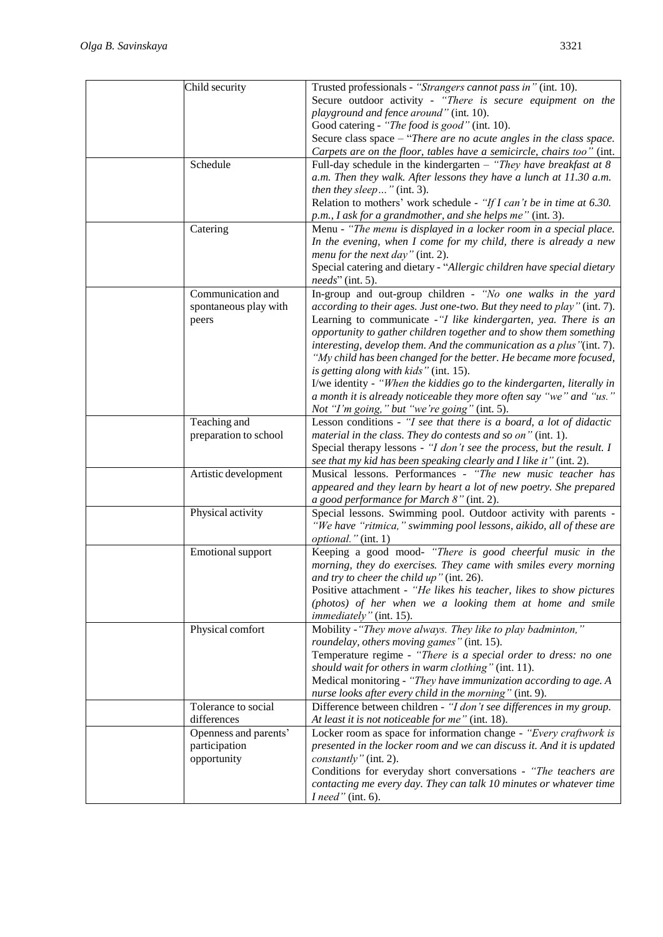| Child security           | Trusted professionals - "Strangers cannot pass in" (int. 10).                                                                    |
|--------------------------|----------------------------------------------------------------------------------------------------------------------------------|
|                          | Secure outdoor activity - "There is secure equipment on the                                                                      |
|                          | playground and fence around" (int. 10).                                                                                          |
|                          | Good catering - "The food is good" (int. 10).                                                                                    |
|                          | Secure class space - "There are no acute angles in the class space.                                                              |
|                          | Carpets are on the floor, tables have a semicircle, chairs too" (int.                                                            |
| Schedule                 | Full-day schedule in the kindergarten - "They have breakfast at $8$                                                              |
|                          | a.m. Then they walk. After lessons they have a lunch at 11.30 a.m.                                                               |
|                          | then they sleep" (int. 3).                                                                                                       |
|                          | Relation to mothers' work schedule - "If I can't be in time at 6.30.                                                             |
|                          | p.m., I ask for a grandmother, and she helps me" (int. 3).<br>Menu - "The menu is displayed in a locker room in a special place. |
| Catering                 | In the evening, when I come for my child, there is already a new                                                                 |
|                          | menu for the next day" (int. 2).                                                                                                 |
|                          | Special catering and dietary - "Allergic children have special dietary                                                           |
|                          | $needs$ " (int. 5).                                                                                                              |
| Communication and        | In-group and out-group children - "No one walks in the yard                                                                      |
| spontaneous play with    | according to their ages. Just one-two. But they need to play" (int. 7).                                                          |
| peers                    | Learning to communicate -"I like kindergarten, yea. There is an                                                                  |
|                          | opportunity to gather children together and to show them something                                                               |
|                          | interesting, develop them. And the communication as a plus"(int. 7).                                                             |
|                          | "My child has been changed for the better. He became more focused,                                                               |
|                          | is getting along with kids" (int. 15).                                                                                           |
|                          | I/we identity - "When the kiddies go to the kindergarten, literally in                                                           |
|                          | a month it is already noticeable they more often say "we" and "us."                                                              |
|                          | Not "I'm going," but "we're going" (int. 5).                                                                                     |
| Teaching and             | Lesson conditions - "I see that there is a board, a lot of didactic                                                              |
| preparation to school    | material in the class. They do contests and so on" (int. 1).                                                                     |
|                          | Special therapy lessons - "I don't see the process, but the result. I                                                            |
|                          | see that my kid has been speaking clearly and I like it" (int. 2).                                                               |
| Artistic development     | Musical lessons. Performances - "The new music teacher has                                                                       |
|                          | appeared and they learn by heart a lot of new poetry. She prepared                                                               |
|                          | a good performance for March 8" (int. 2).                                                                                        |
| Physical activity        | Special lessons. Swimming pool. Outdoor activity with parents -                                                                  |
|                          | "We have "ritmica," swimming pool lessons, aikido, all of these are                                                              |
|                          | <i>optional.</i> " (int. 1)                                                                                                      |
| <b>Emotional support</b> | Keeping a good mood- "There is good cheerful music in the                                                                        |
|                          | morning, they do exercises. They came with smiles every morning                                                                  |
|                          | and try to cheer the child up" (int. 26).                                                                                        |
|                          | Positive attachment - "He likes his teacher, likes to show pictures                                                              |
|                          | (photos) of her when we a looking them at home and smile<br><i>immediately</i> " (int. 15).                                      |
| Physical comfort         | Mobility - "They move always. They like to play badminton,"                                                                      |
|                          | roundelay, others moving games" (int. 15).                                                                                       |
|                          | Temperature regime - "There is a special order to dress: no one                                                                  |
|                          | should wait for others in warm clothing" (int. 11).                                                                              |
|                          | Medical monitoring - "They have immunization according to age. A                                                                 |
|                          | nurse looks after every child in the morning" (int. 9).                                                                          |
| Tolerance to social      | Difference between children - "I don't see differences in my group.                                                              |
| differences              | At least it is not noticeable for me" (int. 18).                                                                                 |
| Openness and parents'    | Locker room as space for information change - "Every craftwork is                                                                |
| participation            | presented in the locker room and we can discuss it. And it is updated                                                            |
| opportunity              | constantly" (int. 2).                                                                                                            |
|                          | Conditions for everyday short conversations - "The teachers are                                                                  |
|                          | contacting me every day. They can talk 10 minutes or whatever time                                                               |
|                          | $I need$ " (int. 6).                                                                                                             |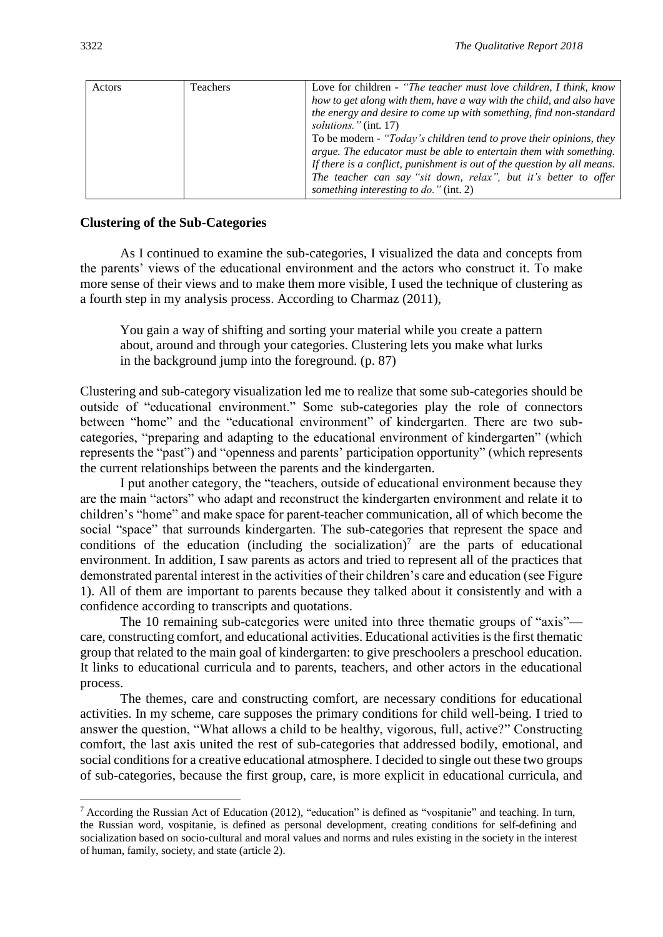|        | Love for children - "The teacher must love children, I think, know      |
|--------|-------------------------------------------------------------------------|
|        | how to get along with them, have a way with the child, and also have    |
|        | the energy and desire to come up with something, find non-standard      |
|        | <i>solutions.</i> " (int. 17)                                           |
|        | To be modern - "Today's children tend to prove their opinions, they     |
|        | argue. The educator must be able to entertain them with something.      |
|        | If there is a conflict, punishment is out of the question by all means. |
|        | The teacher can say "sit down, relax", but it's better to offer         |
|        | something interesting to do." (int. 2)                                  |
| Actors | <b>Teachers</b>                                                         |

#### **Clustering of the Sub-Categories**

As I continued to examine the sub-categories, I visualized the data and concepts from the parents' views of the educational environment and the actors who construct it. To make more sense of their views and to make them more visible, I used the technique of clustering as a fourth step in my analysis process. According to Charmaz (2011),

You gain a way of shifting and sorting your material while you create a pattern about, around and through your categories. Clustering lets you make what lurks in the background jump into the foreground. (p. 87)

Clustering and sub-category visualization led me to realize that some sub-categories should be outside of "educational environment." Some sub-categories play the role of connectors between "home" and the "educational environment" of kindergarten. There are two subcategories, "preparing and adapting to the educational environment of kindergarten" (which represents the "past") and "openness and parents' participation opportunity" (which represents the current relationships between the parents and the kindergarten.

I put another category, the "teachers, outside of educational environment because they are the main "actors" who adapt and reconstruct the kindergarten environment and relate it to children's "home" and make space for parent-teacher communication, all of which become the social "space" that surrounds kindergarten. The sub-categories that represent the space and conditions of the education (including the socialization)<sup>7</sup> are the parts of educational environment. In addition, I saw parents as actors and tried to represent all of the practices that demonstrated parental interest in the activities of their children's care and education (see Figure 1). All of them are important to parents because they talked about it consistently and with a confidence according to transcripts and quotations.

The 10 remaining sub-categories were united into three thematic groups of "axis" care, constructing comfort, and educational activities. Educational activities is the first thematic group that related to the main goal of kindergarten: to give preschoolers a preschool education. It links to educational curricula and to parents, teachers, and other actors in the educational process.

The themes, care and constructing comfort, are necessary conditions for educational activities. In my scheme, care supposes the primary conditions for child well-being. I tried to answer the question, "What allows a child to be healthy, vigorous, full, active?" Constructing comfort, the last axis united the rest of sub-categories that addressed bodily, emotional, and social conditions for a creative educational atmosphere. I decided to single out these two groups of sub-categories, because the first group, care, is more explicit in educational curricula, and

**.** 

 $<sup>7</sup>$  According the Russian Act of Education (2012), "education" is defined as "vospitanie" and teaching. In turn,</sup> the Russian word, vospitanie, is defined as personal development, creating conditions for self-defining and socialization based on socio-cultural and moral values and norms and rules existing in the society in the interest of human, family, society, and state (article 2).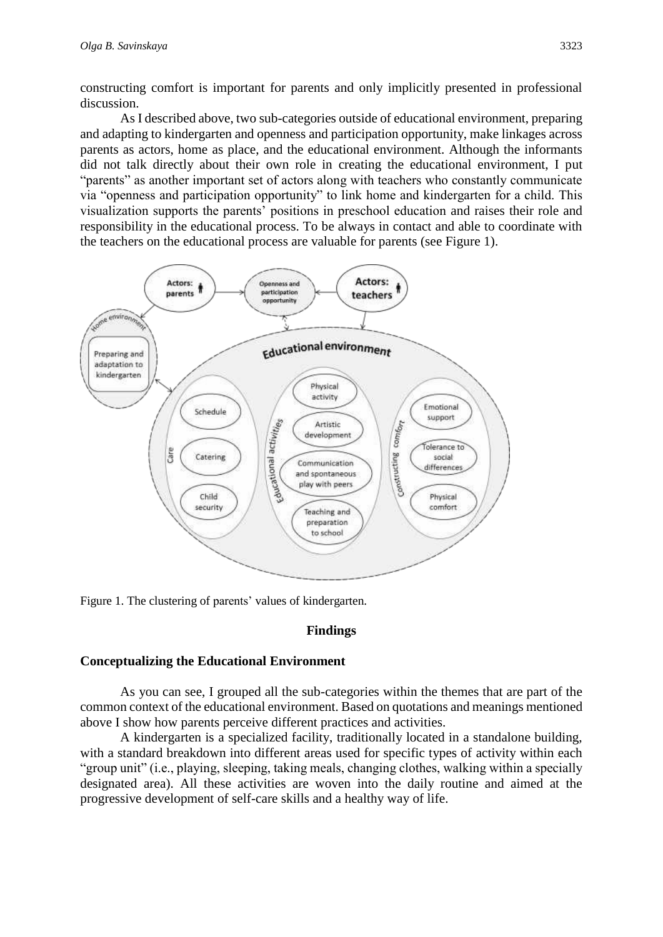constructing comfort is important for parents and only implicitly presented in professional discussion.

As I described above, two sub-categories outside of educational environment, preparing and adapting to kindergarten and openness and participation opportunity, make linkages across parents as actors, home as place, and the educational environment. Although the informants did not talk directly about their own role in creating the educational environment, I put "parents" as another important set of actors along with teachers who constantly communicate via "openness and participation opportunity" to link home and kindergarten for a child. This visualization supports the parents' positions in preschool education and raises their role and responsibility in the educational process. To be always in contact and able to coordinate with the teachers on the educational process are valuable for parents (see Figure 1).



Figure 1. The clustering of parents' values of kindergarten.

#### **Findings**

#### **Conceptualizing the Educational Environment**

As you can see, I grouped all the sub-categories within the themes that are part of the common context of the educational environment. Based on quotations and meanings mentioned above I show how parents perceive different practices and activities.

A kindergarten is a specialized facility, traditionally located in a standalone building, with a standard breakdown into different areas used for specific types of activity within each "group unit" (i.e., playing, sleeping, taking meals, changing clothes, walking within a specially designated area). All these activities are woven into the daily routine and aimed at the progressive development of self-care skills and a healthy way of life.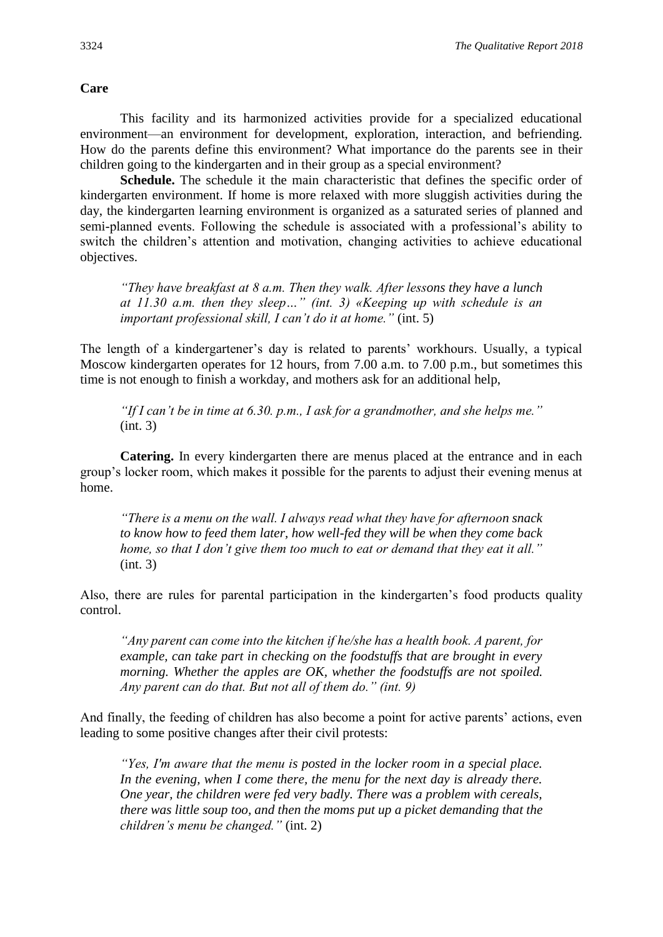**Care**

This facility and its harmonized activities provide for a specialized educational environment—an environment for development, exploration, interaction, and befriending. How do the parents define this environment? What importance do the parents see in their children going to the kindergarten and in their group as a special environment?

**Schedule.** The schedule it the main characteristic that defines the specific order of kindergarten environment. If home is more relaxed with more sluggish activities during the day, the kindergarten learning environment is organized as a saturated series of planned and semi-planned events. Following the schedule is associated with a professional's ability to switch the children's attention and motivation, changing activities to achieve educational objectives.

*"They have breakfast at 8 a.m. Then they walk. After lessons they have a lunch at 11.30 a.m. then they sleep…" (int. 3) «Keeping up with schedule is an important professional skill, I can't do it at home."* (int. 5)

The length of a kindergartener's day is related to parents' workhours. Usually, a typical Moscow kindergarten operates for 12 hours, from 7.00 a.m. to 7.00 p.m., but sometimes this time is not enough to finish a workday, and mothers ask for an additional help,

*"If I can't be in time at 6.30. p.m., I ask for a grandmother, and she helps me."* (int. 3)

**Catering.** In every kindergarten there are menus placed at the entrance and in each group's locker room, which makes it possible for the parents to adjust their evening menus at home.

*"There is a menu on the wall. I always read what they have for afternoon snack to know how to feed them later, how well-fed they will be when they come back home, so that I don't give them too much to eat or demand that they eat it all."*  (int. 3)

Also, there are rules for parental participation in the kindergarten's food products quality control.

*"Any parent can come into the kitchen if he/she has a health book. A parent, for example, can take part in checking on the foodstuffs that are brought in every morning. Whether the apples are OK, whether the foodstuffs are not spoiled. Any parent can do that. But not all of them do." (int. 9)*

And finally, the feeding of children has also become a point for active parents' actions, even leading to some positive changes after their civil protests:

*"Yes, I'm aware that the menu is posted in the locker room in a special place. In the evening, when I come there, the menu for the next day is already there. One year, the children were fed very badly. There was a problem with cereals, there was little soup too, and then the moms put up a picket demanding that the children's menu be changed."* (int. 2)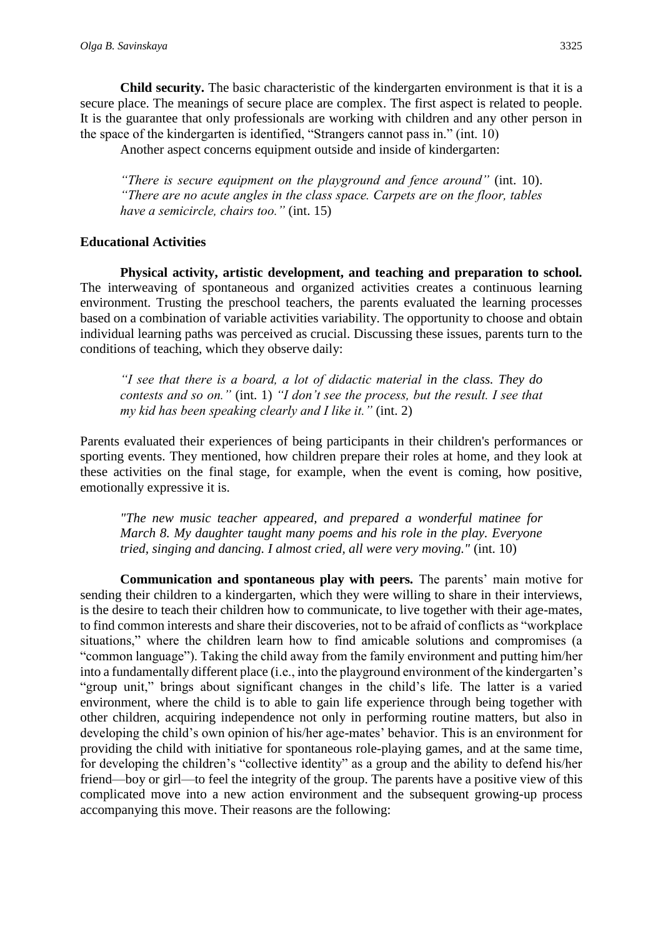**Child security.** The basic characteristic of the kindergarten environment is that it is a secure place. The meanings of secure place are complex. The first aspect is related to people. It is the guarantee that only professionals are working with children and any other person in the space of the kindergarten is identified, "Strangers cannot pass in." (int. 10)

Another aspect concerns equipment outside and inside of kindergarten:

*"There is secure equipment on the playground and fence around"* (int. 10). *"There are no acute angles in the class space. Carpets are on the floor, tables have a semicircle, chairs too."* (int. 15)

#### **Educational Activities**

**Physical activity, artistic development, and teaching and preparation to school***.*  The interweaving of spontaneous and organized activities creates a continuous learning environment. Trusting the preschool teachers, the parents evaluated the learning processes based on a combination of variable activities variability. The opportunity to choose and obtain individual learning paths was perceived as crucial. Discussing these issues, parents turn to the conditions of teaching, which they observe daily:

*"I see that there is a board, a lot of didactic material in the class. They do contests and so on."* (int. 1) *"I don't see the process, but the result. I see that my kid has been speaking clearly and I like it."* (int. 2)

Parents evaluated their experiences of being participants in their children's performances or sporting events. They mentioned, how children prepare their roles at home, and they look at these activities on the final stage, for example, when the event is coming, how positive, emotionally expressive it is.

*"The new music teacher appeared, and prepared a wonderful matinee for March 8. My daughter taught many poems and his role in the play. Everyone tried, singing and dancing. I almost cried, all were very moving."* (int. 10)

**Communication and spontaneous play with peers***.* The parents' main motive for sending their children to a kindergarten, which they were willing to share in their interviews, is the desire to teach their children how to communicate, to live together with their age-mates, to find common interests and share their discoveries, not to be afraid of conflicts as "workplace situations," where the children learn how to find amicable solutions and compromises (a "common language"). Taking the child away from the family environment and putting him/her into a fundamentally different place (i.e., into the playground environment of the kindergarten's "group unit," brings about significant changes in the child's life. The latter is a varied environment, where the child is to able to gain life experience through being together with other children, acquiring independence not only in performing routine matters, but also in developing the child's own opinion of his/her age-mates' behavior. This is an environment for providing the child with initiative for spontaneous role-playing games, and at the same time, for developing the children's "collective identity" as a group and the ability to defend his/her friend—boy or girl—to feel the integrity of the group. The parents have a positive view of this complicated move into a new action environment and the subsequent growing-up process accompanying this move. Their reasons are the following: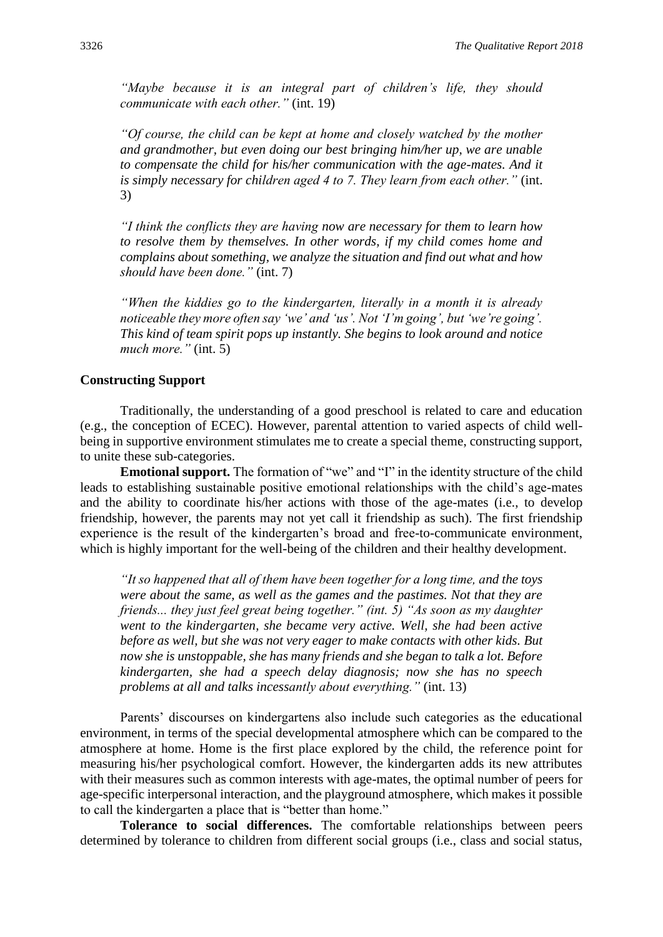*"Maybe because it is an integral part of children's life, they should communicate with each other."* (int. 19)

*"Of course, the child can be kept at home and closely watched by the mother and grandmother, but even doing our best bringing him/her up, we are unable to compensate the child for his/her communication with the age-mates. And it is simply necessary for children aged 4 to 7. They learn from each other."* (int. 3)

*"I think the conflicts they are having now are necessary for them to learn how to resolve them by themselves. In other words, if my child comes home and complains about something, we analyze the situation and find out what and how should have been done."* (int. 7)

*"When the kiddies go to the kindergarten, literally in a month it is already noticeable they more often say 'we' and 'us'. Not 'I'm going', but 'we're going'. This kind of team spirit pops up instantly. She begins to look around and notice much more."* (int. 5)

#### **Constructing Support**

Traditionally, the understanding of a good preschool is related to care and education (e.g., the conception of ECEC). However, parental attention to varied aspects of child wellbeing in supportive environment stimulates me to create a special theme, constructing support, to unite these sub-categories.

**Emotional support.** The formation of "we" and "I" in the identity structure of the child leads to establishing sustainable positive emotional relationships with the child's age-mates and the ability to coordinate his/her actions with those of the age-mates (i.e., to develop friendship, however, the parents may not yet call it friendship as such). The first friendship experience is the result of the kindergarten's broad and free-to-communicate environment, which is highly important for the well-being of the children and their healthy development.

*"It so happened that all of them have been together for a long time, and the toys were about the same, as well as the games and the pastimes. Not that they are friends... they just feel great being together." (int. 5) "As soon as my daughter went to the kindergarten, she became very active. Well, she had been active before as well, but she was not very eager to make contacts with other kids. But now she is unstoppable, she has many friends and she began to talk a lot. Before kindergarten, she had a speech delay diagnosis; now she has no speech problems at all and talks incessantly about everything."* (int. 13)

Parents' discourses on kindergartens also include such categories as the educational environment, in terms of the special developmental atmosphere which can be compared to the atmosphere at home. Home is the first place explored by the child, the reference point for measuring his/her psychological comfort. However, the kindergarten adds its new attributes with their measures such as common interests with age-mates, the optimal number of peers for age-specific interpersonal interaction, and the playground atmosphere, which makes it possible to call the kindergarten a place that is "better than home."

**Tolerance to social differences.** The comfortable relationships between peers determined by tolerance to children from different social groups (i.e., class and social status,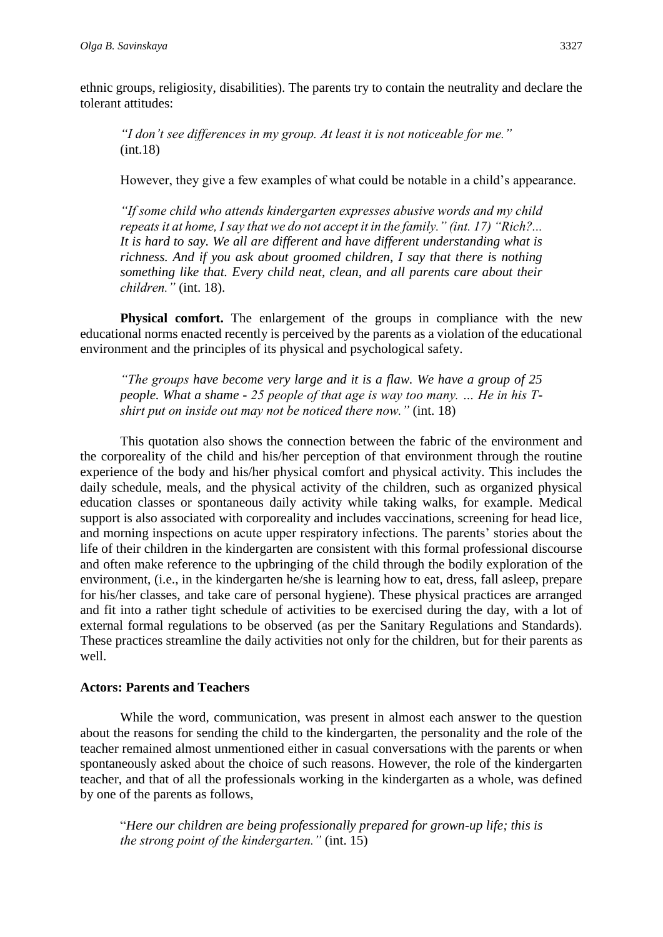ethnic groups, religiosity, disabilities). The parents try to contain the neutrality and declare the tolerant attitudes:

*"I don't see differences in my group. At least it is not noticeable for me."* (int.18)

However, they give a few examples of what could be notable in a child's appearance.

*"If some child who attends kindergarten expresses abusive words and my child repeats it at home, I say that we do not accept it in the family." (int. 17) "Rich?... It is hard to say. We all are different and have different understanding what is richness. And if you ask about groomed children, I say that there is nothing something like that. Every child neat, clean, and all parents care about their children."* (int. 18).

**Physical comfort.** The enlargement of the groups in compliance with the new educational norms enacted recently is perceived by the parents as a violation of the educational environment and the principles of its physical and psychological safety.

*"The groups have become very large and it is a flaw. We have a group of 25 people. What a shame - 25 people of that age is way too many. … He in his Tshirt put on inside out may not be noticed there now."* (int. 18)

This quotation also shows the connection between the fabric of the environment and the corporeality of the child and his/her perception of that environment through the routine experience of the body and his/her physical comfort and physical activity. This includes the daily schedule, meals, and the physical activity of the children, such as organized physical education classes or spontaneous daily activity while taking walks, for example. Medical support is also associated with corporeality and includes vaccinations, screening for head lice, and morning inspections on acute upper respiratory infections. The parents' stories about the life of their children in the kindergarten are consistent with this formal professional discourse and often make reference to the upbringing of the child through the bodily exploration of the environment, (i.e., in the kindergarten he/she is learning how to eat, dress, fall asleep, prepare for his/her classes, and take care of personal hygiene). These physical practices are arranged and fit into a rather tight schedule of activities to be exercised during the day, with a lot of external formal regulations to be observed (as per the Sanitary Regulations and Standards). These practices streamline the daily activities not only for the children, but for their parents as well.

#### **Actors: Parents and Teachers**

While the word, communication, was present in almost each answer to the question about the reasons for sending the child to the kindergarten, the personality and the role of the teacher remained almost unmentioned either in casual conversations with the parents or when spontaneously asked about the choice of such reasons. However, the role of the kindergarten teacher, and that of all the professionals working in the kindergarten as a whole, was defined by one of the parents as follows,

"*Here our children are being professionally prepared for grown-up life; this is the strong point of the kindergarten."* (int. 15)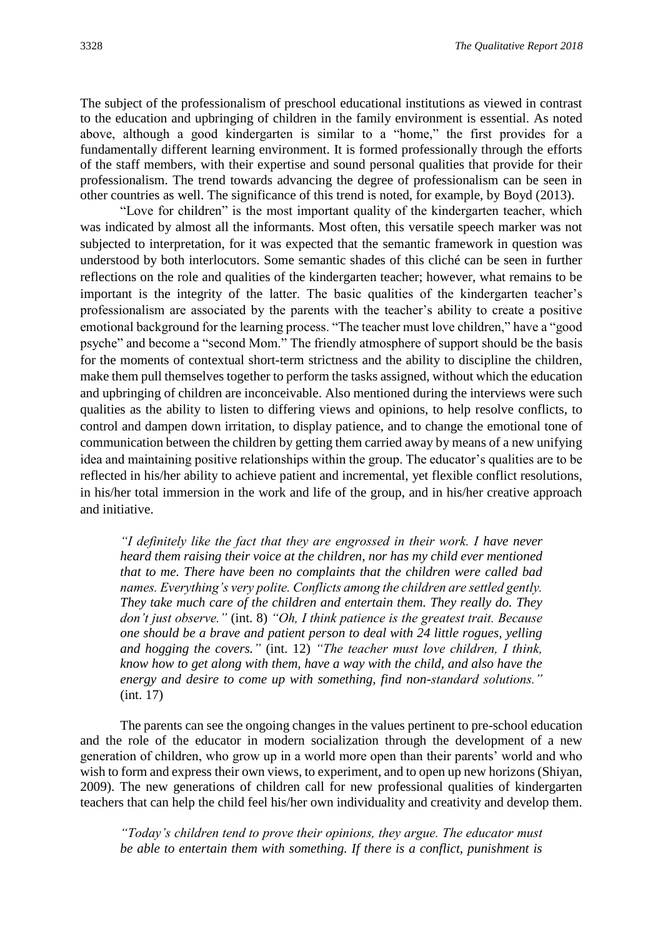The subject of the professionalism of preschool educational institutions as viewed in contrast to the education and upbringing of children in the family environment is essential. As noted above, although a good kindergarten is similar to a "home," the first provides for a fundamentally different learning environment. It is formed professionally through the efforts of the staff members, with their expertise and sound personal qualities that provide for their professionalism. The trend towards advancing the degree of professionalism can be seen in other countries as well. The significance of this trend is noted, for example, by Boyd (2013).

"Love for children" is the most important quality of the kindergarten teacher, which was indicated by almost all the informants. Most often, this versatile speech marker was not subjected to interpretation, for it was expected that the semantic framework in question was understood by both interlocutors. Some semantic shades of this cliché can be seen in further reflections on the role and qualities of the kindergarten teacher; however, what remains to be important is the integrity of the latter. The basic qualities of the kindergarten teacher's professionalism are associated by the parents with the teacher's ability to create a positive emotional background for the learning process. "The teacher must love children," have a "good psyche" and become a "second Mom." The friendly atmosphere of support should be the basis for the moments of contextual short-term strictness and the ability to discipline the children, make them pull themselves together to perform the tasks assigned, without which the education and upbringing of children are inconceivable. Also mentioned during the interviews were such qualities as the ability to listen to differing views and opinions, to help resolve conflicts, to control and dampen down irritation, to display patience, and to change the emotional tone of communication between the children by getting them carried away by means of a new unifying idea and maintaining positive relationships within the group. The educator's qualities are to be reflected in his/her ability to achieve patient and incremental, yet flexible conflict resolutions, in his/her total immersion in the work and life of the group, and in his/her creative approach and initiative.

*"I definitely like the fact that they are engrossed in their work. I have never heard them raising their voice at the children, nor has my child ever mentioned that to me. There have been no complaints that the children were called bad names. Everything's very polite. Conflicts among the children are settled gently. They take much care of the children and entertain them. They really do. They don't just observe."* (int. 8) *"Oh, I think patience is the greatest trait. Because one should be a brave and patient person to deal with 24 little rogues, yelling and hogging the covers."* (int. 12) *"The teacher must love children, I think, know how to get along with them, have a way with the child, and also have the energy and desire to come up with something, find non-standard solutions."*  (int. 17)

The parents can see the ongoing changes in the values pertinent to pre-school education and the role of the educator in modern socialization through the development of a new generation of children, who grow up in a world more open than their parents' world and who wish to form and express their own views, to experiment, and to open up new horizons (Shiyan, 2009). The new generations of children call for new professional qualities of kindergarten teachers that can help the child feel his/her own individuality and creativity and develop them.

*"Today's children tend to prove their opinions, they argue. The educator must be able to entertain them with something. If there is a conflict, punishment is*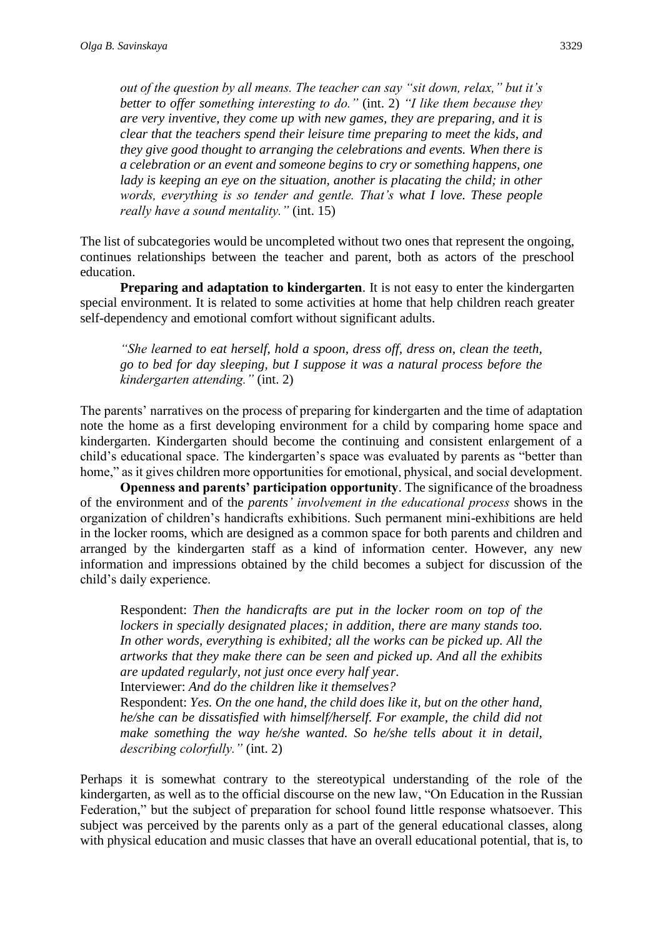*out of the question by all means. The teacher can say "sit down, relax," but it's better to offer something interesting to do."* (int. 2) *"I like them because they are very inventive, they come up with new games, they are preparing, and it is clear that the teachers spend their leisure time preparing to meet the kids, and they give good thought to arranging the celebrations and events. When there is a celebration or an event and someone begins to cry or something happens, one lady is keeping an eye on the situation, another is placating the child; in other words, everything is so tender and gentle. That's what I love. These people really have a sound mentality."* (int. 15)

The list of subcategories would be uncompleted without two ones that represent the ongoing, continues relationships between the teacher and parent, both as actors of the preschool education.

**Preparing and adaptation to kindergarten**. It is not easy to enter the kindergarten special environment. It is related to some activities at home that help children reach greater self-dependency and emotional comfort without significant adults.

*"She learned to eat herself, hold a spoon, dress off, dress on, clean the teeth, go to bed for day sleeping, but I suppose it was a natural process before the kindergarten attending."* (int. 2)

The parents' narratives on the process of preparing for kindergarten and the time of adaptation note the home as a first developing environment for a child by comparing home space and kindergarten. Kindergarten should become the continuing and consistent enlargement of a child's educational space. The kindergarten's space was evaluated by parents as "better than home," as it gives children more opportunities for emotional, physical, and social development.

**Openness and parents' participation opportunity**. The significance of the broadness of the environment and of the *parents' involvement in the educational process* shows in the organization of children's handicrafts exhibitions. Such permanent mini-exhibitions are held in the locker rooms, which are designed as a common space for both parents and children and arranged by the kindergarten staff as a kind of information center. However, any new information and impressions obtained by the child becomes a subject for discussion of the child's daily experience.

Respondent: *Then the handicrafts are put in the locker room on top of the lockers in specially designated places; in addition, there are many stands too. In other words, everything is exhibited; all the works can be picked up. All the artworks that they make there can be seen and picked up. And all the exhibits are updated regularly, not just once every half year.*

Interviewer: *And do the children like it themselves?*

Respondent: *Yes. On the one hand, the child does like it, but on the other hand, he/she can be dissatisfied with himself/herself. For example, the child did not make something the way he/she wanted. So he/she tells about it in detail, describing colorfully."* (int. 2)

Perhaps it is somewhat contrary to the stereotypical understanding of the role of the kindergarten, as well as to the official discourse on the new law, "On Education in the Russian Federation," but the subject of preparation for school found little response whatsoever. This subject was perceived by the parents only as a part of the general educational classes, along with physical education and music classes that have an overall educational potential, that is, to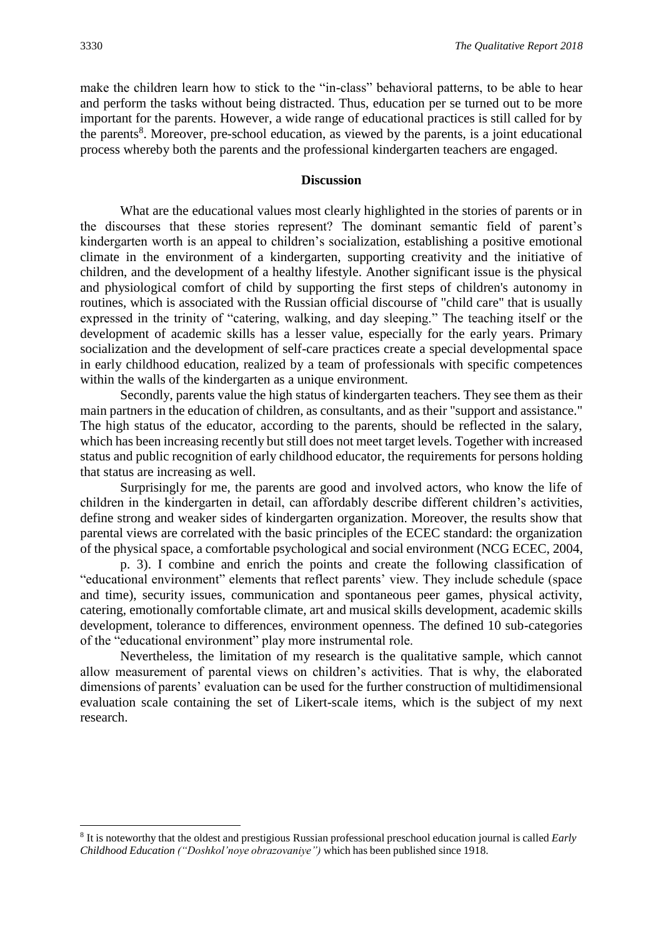make the children learn how to stick to the "in-class" behavioral patterns, to be able to hear and perform the tasks without being distracted. Thus, education per se turned out to be more important for the parents. However, a wide range of educational practices is still called for by the parents<sup>8</sup>. Moreover, pre-school education, as viewed by the parents, is a joint educational process whereby both the parents and the professional kindergarten teachers are engaged.

#### **Discussion**

What are the educational values most clearly highlighted in the stories of parents or in the discourses that these stories represent? The dominant semantic field of parent's kindergarten worth is an appeal to children's socialization, establishing a positive emotional climate in the environment of a kindergarten, supporting creativity and the initiative of children, and the development of a healthy lifestyle. Another significant issue is the physical and physiological comfort of child by supporting the first steps of children's autonomy in routines, which is associated with the Russian official discourse of "child care" that is usually expressed in the trinity of "catering, walking, and day sleeping." The teaching itself or the development of academic skills has a lesser value, especially for the early years. Primary socialization and the development of self-care practices create a special developmental space in early childhood education, realized by a team of professionals with specific competences within the walls of the kindergarten as a unique environment.

Secondly, parents value the high status of kindergarten teachers. They see them as their main partners in the education of children, as consultants, and as their "support and assistance." The high status of the educator, according to the parents, should be reflected in the salary, which has been increasing recently but still does not meet target levels. Together with increased status and public recognition of early childhood educator, the requirements for persons holding that status are increasing as well.

Surprisingly for me, the parents are good and involved actors, who know the life of children in the kindergarten in detail, can affordably describe different children's activities, define strong and weaker sides of kindergarten organization. Moreover, the results show that parental views are correlated with the basic principles of the ECEC standard: the organization of the physical space, a comfortable psychological and social environment (NCG ECEC, 2004,

p. 3). I combine and enrich the points and create the following classification of "educational environment" elements that reflect parents' view. They include schedule (space and time), security issues, communication and spontaneous peer games, physical activity, catering, emotionally comfortable climate, art and musical skills development, academic skills development, tolerance to differences, environment openness. The defined 10 sub-categories of the "educational environment" play more instrumental role.

Nevertheless, the limitation of my research is the qualitative sample, which cannot allow measurement of parental views on children's activities. That is why, the elaborated dimensions of parents' evaluation can be used for the further construction of multidimensional evaluation scale containing the set of Likert-scale items, which is the subject of my next research.

1

<sup>8</sup> It is noteworthy that the oldest and prestigious Russian professional preschool education journal is called *Early Childhood Education ("Doshkol'noye obrazovaniye")* which has been published since 1918.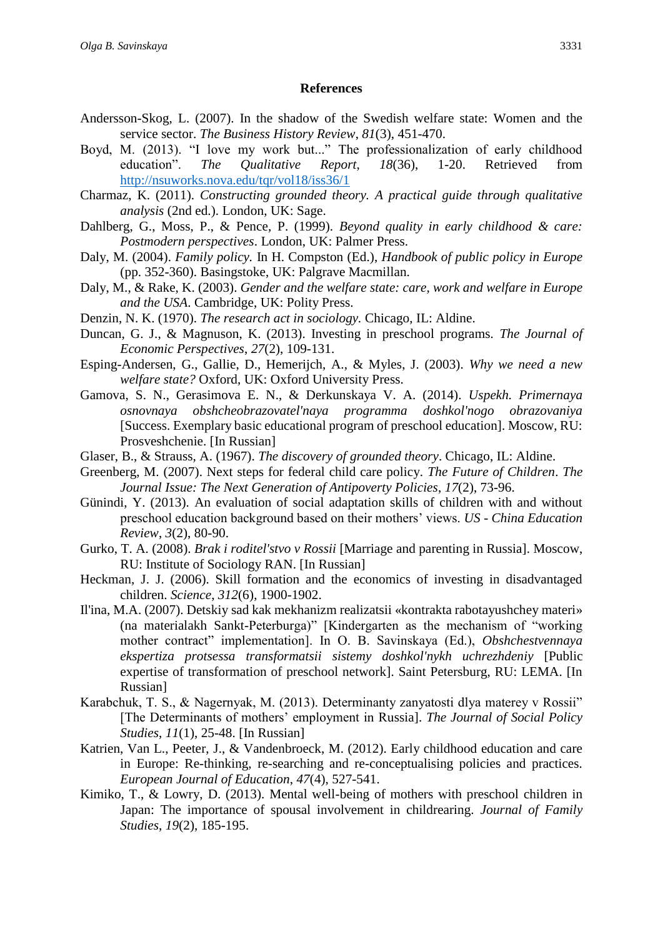#### **References**

- Andersson-Skog, L. (2007). In the shadow of the Swedish welfare state: Women and the service sector. *The Business History Review*, *81*(3), 451-470.
- Boyd, M. (2013). "I love my work but..." The professionalization of early childhood education". *The Qualitative Report*, *18*(36), 1-20. Retrieved from <http://nsuworks.nova.edu/tqr/vol18/iss36/1>
- Charmaz, K. (2011). *Constructing grounded theory. A practical guide through qualitative analysis* (2nd ed.). London, UK: Sage.
- Dahlberg, G., Moss, P., & Pence, P. (1999). *Beyond quality in early childhood & care: Postmodern perspectives*. London, UK: Palmer Press.
- Daly, M. (2004). *Family policy.* In H. Compston (Ed.), *Handbook of public policy in Europe* (pp. 352-360). Basingstoke, UK: Palgrave Macmillan.
- Daly, M., & Rake, K. (2003). *Gender and the welfare state: care, work and welfare in Europe and the USA*. Cambridge, UK: Polity Press.
- Denzin, N. K. (1970). *The research act in sociology.* Chicago, IL: Aldine.
- Duncan, G. J., & Magnuson, K. (2013). Investing in preschool programs. *The Journal of Economic Perspectives*, *27*(2), 109-131.
- Esping-Andersen, G., Gallie, D., Hemerijch, A., & Myles, J. (2003). *Why we need a new welfare state?* Oxford, UK: Oxford University Press.
- Gamova, S. N., Gerasimova E. N., & Derkunskaya V. A. (2014). *Uspekh. Primernaya osnovnaya obshcheobrazovatel'naya programma doshkol'nogo obrazovaniya*  [Success. Exemplary basic educational program of preschool education]. Moscow, RU: Prosveshchenie. [In Russian]
- Glaser, B., & Strauss, A. (1967). *The discovery of grounded theory*. Chicago, IL: Aldine.
- Greenberg, M. (2007). Next steps for federal child care policy. *The Future of Children*. *The Journal Issue: The Next Generation of Antipoverty Policies*, *17*(2), 73-96.
- Günindi, Y. (2013). An evaluation of social adaptation skills of children with and without preschool education background based on their mothers' views. *US - China Education Review*, *3*(2), 80-90.
- Gurko, T. A. (2008). *Brak i roditel'stvo v Rossii* [Marriage and parenting in Russia]. Moscow, RU: Institute of Sociology RAN. [In Russian]
- Heckman, J. J. (2006). Skill formation and the economics of investing in disadvantaged children. *Science*, *312*(6), 1900-1902.
- Il'ina, M.A. (2007). Detskiy sad kak mekhanizm realizatsii «kontrakta rabotayushchey materi» (na materialakh Sankt-Peterburga)" [Kindergarten as the mechanism of "working mother contract" implementation]. In O. B. Savinskaya (Ed.), *Obshchestvennaya ekspertiza protsessa transformatsii sistemy doshkol'nykh uchrezhdeniy* [Public expertise of transformation of preschool network]. Saint Petersburg, RU: LEMA. [In Russian]
- Karabchuk, T. S., & Nagernyak, M. (2013). Determinanty zanyatosti dlya materey v Rossii" [The Determinants of mothers' employment in Russia]. *The Journal of Social Policy Studies*, *11*(1), 25-48. [In Russian]
- Katrien, Van L., Peeter, J., & Vandenbroeck, M. (2012). Early childhood education and care in Europe: Re-thinking, re-searching and re-conceptualising policies and practices. *European Journal of Education*, *47*(4), 527-541.
- Kimiko, T., & Lowry, D. (2013). Mental well-being of mothers with preschool children in Japan: The importance of spousal involvement in childrearing. *Journal of Family Studies*, *19*(2), 185-195.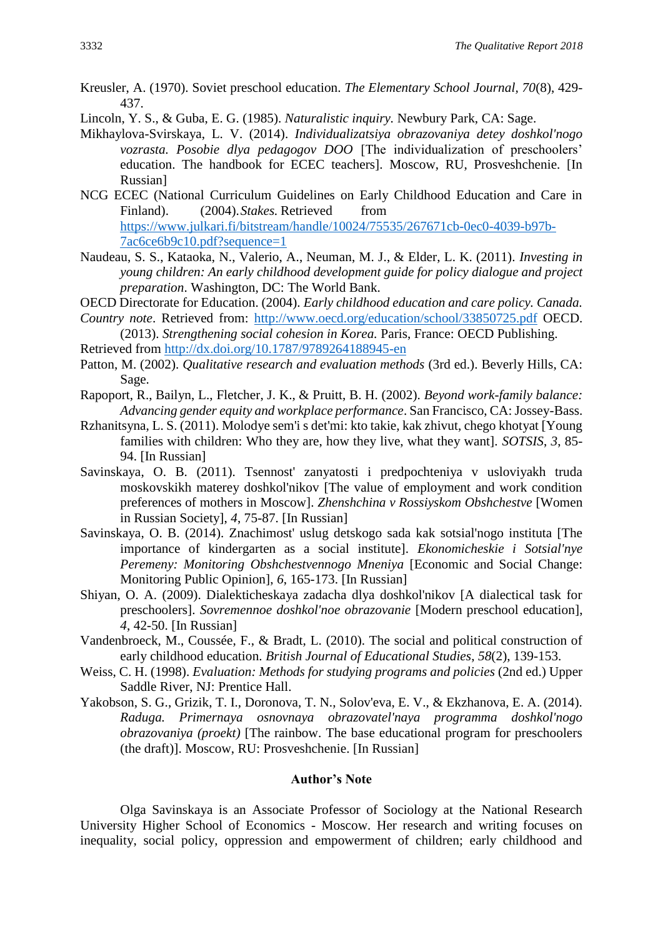- Kreusler, A. (1970). Soviet preschool education. *The Elementary School Journal, 70*(8), 429- 437.
- Lincoln, Y. S., & Guba, E. G. (1985). *Naturalistic inquiry.* Newbury Park, CA: Sage.
- Mikhaylova-Svirskaya, L. V. (2014). *Individualizatsiya obrazovaniya detey doshkol'nogo vozrasta. Posobie dlya pedagogov DOO* [The individualization of preschoolers' education. The handbook for ECEC teachers]. Moscow, RU, Prosveshchenie. [In Russian]
- NCG ECEC (National Curriculum Guidelines on Early Childhood Education and Care in Finland). (2004). *Stakes*. Retrieved from [https://www.julkari.fi/bitstream/handle/10024/75535/267671cb-0ec0-4039-b97b-](https://www.julkari.fi/bitstream/handle/10024/75535/267671cb-0ec0-4039-b97b-7ac6ce6b9c10.pdf?sequence=1)[7ac6ce6b9c10.pdf?sequence=1](https://www.julkari.fi/bitstream/handle/10024/75535/267671cb-0ec0-4039-b97b-7ac6ce6b9c10.pdf?sequence=1)
- Naudeau, S. S., Kataoka, N., Valerio, A., Neuman, M. J., & Elder, L. K. (2011). *Investing in young children: An early childhood development guide for policy dialogue and project preparation*. Washington, DC: The World Bank.
- OECD Directorate for Education. (2004). *Early childhood education and care policy. Canada.*
- *Country note*. Retrieved from:<http://www.oecd.org/education/school/33850725.pdf> OECD. (2013). *Strengthening social cohesion in Korea.* Paris, France: OECD Publishing.
- Retrieved from<http://dx.doi.org/10.1787/9789264188945-en>
- Patton, M. (2002). *Qualitative research and evaluation methods* (3rd ed.). Beverly Hills, CA: Sage.
- Rapoport, R., Bailyn, L., Fletcher, J. K., & Pruitt, B. H. (2002). *Beyond work-family balance: Advancing gender equity and workplace performance*. San Francisco, CA: Jossey-Bass.
- Rzhanitsyna, L. S. (2011). Molodye sem'i s det'mi: kto takie, kak zhivut, chego khotyat [Young families with children: Who they are, how they live, what they want]. *SOTSIS*, *3*, 85- 94. [In Russian]
- Savinskaya, O. B. (2011). Tsennost' zanyatosti i predpochteniya v usloviyakh truda moskovskikh materey doshkol'nikov [The value of employment and work condition preferences of mothers in Moscow]. *Zhenshchina v Rossiyskom Obshchestve* [Women in Russian Society], *4*, 75-87. [In Russian]
- Savinskaya, O. B. (2014). Znachimost' uslug detskogo sada kak sotsial'nogo instituta [The importance of kindergarten as a social institute]. *Ekonomicheskie i Sotsial'nye Peremeny: Monitoring Obshchestvennogo Mneniya* [Economic and Social Change: Monitoring Public Opinion], *6*, 165-173. [In Russian]
- Shiyan, O. A. (2009). Dialekticheskaya zadacha dlya doshkol'nikov [A dialectical task for preschoolers]. *Sovremennoe doshkol'noe obrazovanie* [Modern preschool education], *4*, 42-50. [In Russian]
- Vandenbroeck, M., Coussée, F., & Bradt, L. (2010). The social and political construction of early childhood education. *British Journal of Educational Studies*, *58*(2), 139-153.
- Weiss, C. H. (1998). *Evaluation: Methods for studying programs and policies* (2nd ed.) Upper Saddle River, NJ: Prentice Hall.
- Yakobson, S. G., Grizik, T. I., Doronova, T. N., Solov'eva, E. V., & Ekzhanova, E. A. (2014). *Raduga. Primernaya osnovnaya obrazovatel'naya programma doshkol'nogo obrazovaniya (proekt)* [The rainbow. The base educational program for preschoolers (the draft)]. Moscow, RU: Prosveshchenie. [In Russian]

#### **Author's Note**

Olga Savinskaya is an Associate Professor of Sociology at the National Research University Higher School of Economics - Moscow. Her research and writing focuses on inequality, social policy, oppression and empowerment of children; early childhood and